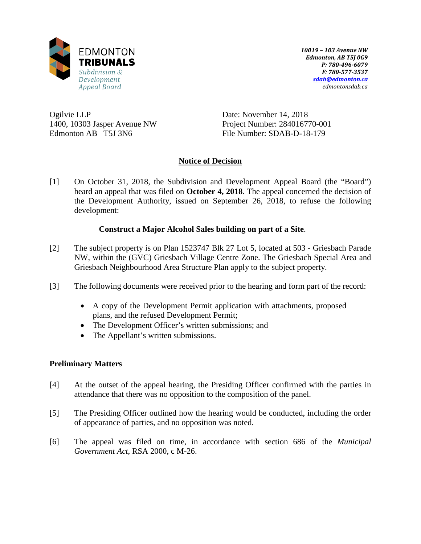

*10019 – 103 Avenue NW Edmonton, AB T5J 0G9 P: 780-496-6079 F: 780-577-3537 [sdab@edmonton.ca](mailto:sdab@edmonton.ca) edmontonsdab.ca*

Ogilvie LLP 1400, 10303 Jasper Avenue NW Edmonton AB T5J 3N6

Date: November 14, 2018 Project Number: 284016770-001 File Number: SDAB-D-18-179

# **Notice of Decision**

[1] On October 31, 2018, the Subdivision and Development Appeal Board (the "Board") heard an appeal that was filed on **October 4, 2018**. The appeal concerned the decision of the Development Authority, issued on September 26, 2018, to refuse the following development:

## **Construct a Major Alcohol Sales building on part of a Site**.

- [2] The subject property is on Plan 1523747 Blk 27 Lot 5, located at 503 Griesbach Parade NW, within the (GVC) Griesbach Village Centre Zone. The Griesbach Special Area and Griesbach Neighbourhood Area Structure Plan apply to the subject property.
- [3] The following documents were received prior to the hearing and form part of the record:
	- A copy of the Development Permit application with attachments, proposed plans, and the refused Development Permit;
	- The Development Officer's written submissions; and
	- The Appellant's written submissions.

## **Preliminary Matters**

- [4] At the outset of the appeal hearing, the Presiding Officer confirmed with the parties in attendance that there was no opposition to the composition of the panel.
- [5] The Presiding Officer outlined how the hearing would be conducted, including the order of appearance of parties, and no opposition was noted.
- [6] The appeal was filed on time, in accordance with section 686 of the *Municipal Government Act*, RSA 2000, c M-26.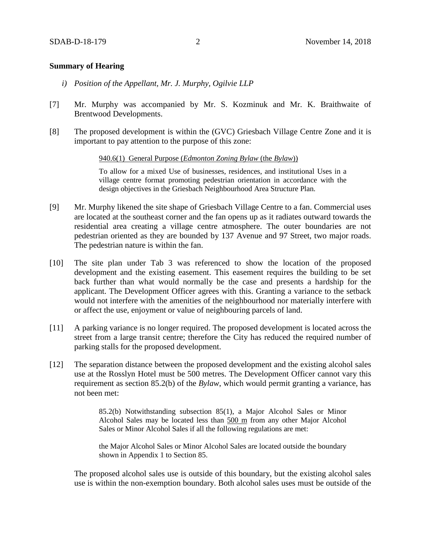### **Summary of Hearing**

- *i) Position of the Appellant, Mr. J. Murphy, Ogilvie LLP*
- [7] Mr. Murphy was accompanied by Mr. S. Kozminuk and Mr. K. Braithwaite of Brentwood Developments.
- [8] The proposed development is within the (GVC) Griesbach Village Centre Zone and it is important to pay attention to the purpose of this zone:

#### 940.6(1) General Purpose (*Edmonton Zoning Bylaw* (the *Bylaw*))

To allow for a mixed Use of businesses, residences, and institutional Uses in a village centre format promoting pedestrian orientation in accordance with the design objectives in the Griesbach Neighbourhood Area Structure Plan.

- [9] Mr. Murphy likened the site shape of Griesbach Village Centre to a fan. Commercial uses are located at the southeast corner and the fan opens up as it radiates outward towards the residential area creating a village centre atmosphere. The outer boundaries are not pedestrian oriented as they are bounded by 137 Avenue and 97 Street, two major roads. The pedestrian nature is within the fan.
- [10] The site plan under Tab 3 was referenced to show the location of the proposed development and the existing easement. This easement requires the building to be set back further than what would normally be the case and presents a hardship for the applicant. The Development Officer agrees with this. Granting a variance to the setback would not interfere with the amenities of the neighbourhood nor materially interfere with or affect the use, enjoyment or value of neighbouring parcels of land.
- [11] A parking variance is no longer required. The proposed development is located across the street from a large transit centre; therefore the City has reduced the required number of parking stalls for the proposed development.
- [12] The separation distance between the proposed development and the existing alcohol sales use at the Rosslyn Hotel must be 500 metres. The Development Officer cannot vary this requirement as section 85.2(b) of the *Bylaw*, which would permit granting a variance, has not been met:

85.2(b) Notwithstanding subsection 85(1), a Major Alcohol Sales or Minor Alcohol Sales may be located less than 500 m from any other Major Alcohol Sales or Minor Alcohol Sales if all the following regulations are met:

the Major Alcohol Sales or Minor Alcohol Sales are located outside the boundary shown in Appendix 1 to Section 85.

The proposed alcohol sales use is outside of this boundary, but the existing alcohol sales use is within the non-exemption boundary. Both alcohol sales uses must be outside of the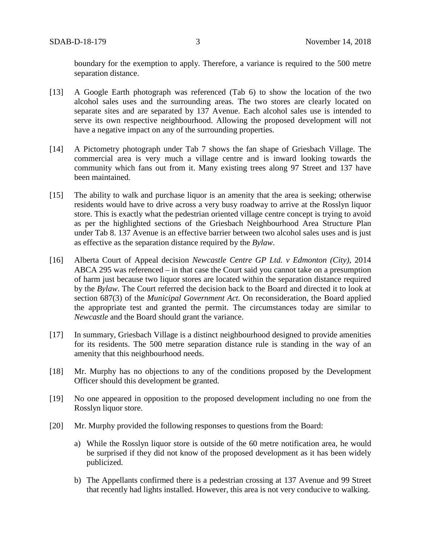boundary for the exemption to apply. Therefore, a variance is required to the 500 metre separation distance.

- [13] A Google Earth photograph was referenced (Tab 6) to show the location of the two alcohol sales uses and the surrounding areas. The two stores are clearly located on separate sites and are separated by 137 Avenue. Each alcohol sales use is intended to serve its own respective neighbourhood. Allowing the proposed development will not have a negative impact on any of the surrounding properties.
- [14] A Pictometry photograph under Tab 7 shows the fan shape of Griesbach Village. The commercial area is very much a village centre and is inward looking towards the community which fans out from it. Many existing trees along 97 Street and 137 have been maintained.
- [15] The ability to walk and purchase liquor is an amenity that the area is seeking; otherwise residents would have to drive across a very busy roadway to arrive at the Rosslyn liquor store. This is exactly what the pedestrian oriented village centre concept is trying to avoid as per the highlighted sections of the Griesbach Neighbourhood Area Structure Plan under Tab 8. 137 Avenue is an effective barrier between two alcohol sales uses and is just as effective as the separation distance required by the *Bylaw*.
- [16] Alberta Court of Appeal decision *Newcastle Centre GP Ltd. v Edmonton (City)*, 2014 ABCA 295 was referenced – in that case the Court said you cannot take on a presumption of harm just because two liquor stores are located within the separation distance required by the *Bylaw*. The Court referred the decision back to the Board and directed it to look at section 687(3) of the *Municipal Government Act*. On reconsideration, the Board applied the appropriate test and granted the permit. The circumstances today are similar to *Newcastle* and the Board should grant the variance.
- [17] In summary, Griesbach Village is a distinct neighbourhood designed to provide amenities for its residents. The 500 metre separation distance rule is standing in the way of an amenity that this neighbourhood needs.
- [18] Mr. Murphy has no objections to any of the conditions proposed by the Development Officer should this development be granted.
- [19] No one appeared in opposition to the proposed development including no one from the Rosslyn liquor store.
- [20] Mr. Murphy provided the following responses to questions from the Board:
	- a) While the Rosslyn liquor store is outside of the 60 metre notification area, he would be surprised if they did not know of the proposed development as it has been widely publicized.
	- b) The Appellants confirmed there is a pedestrian crossing at 137 Avenue and 99 Street that recently had lights installed. However, this area is not very conducive to walking.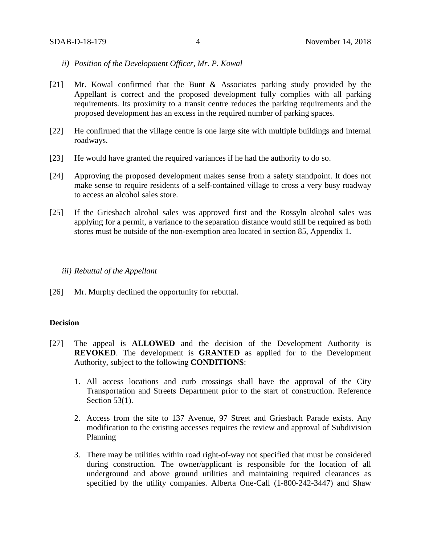- *ii) Position of the Development Officer, Mr. P. Kowal*
- [21] Mr. Kowal confirmed that the Bunt & Associates parking study provided by the Appellant is correct and the proposed development fully complies with all parking requirements. Its proximity to a transit centre reduces the parking requirements and the proposed development has an excess in the required number of parking spaces.
- [22] He confirmed that the village centre is one large site with multiple buildings and internal roadways.
- [23] He would have granted the required variances if he had the authority to do so.
- [24] Approving the proposed development makes sense from a safety standpoint. It does not make sense to require residents of a self-contained village to cross a very busy roadway to access an alcohol sales store.
- [25] If the Griesbach alcohol sales was approved first and the Rossyln alcohol sales was applying for a permit, a variance to the separation distance would still be required as both stores must be outside of the non-exemption area located in section 85, Appendix 1.

#### *iii) Rebuttal of the Appellant*

[26] Mr. Murphy declined the opportunity for rebuttal.

### **Decision**

- [27] The appeal is **ALLOWED** and the decision of the Development Authority is **REVOKED**. The development is **GRANTED** as applied for to the Development Authority, subject to the following **CONDITIONS**:
	- 1. All access locations and curb crossings shall have the approval of the City Transportation and Streets Department prior to the start of construction. Reference Section 53(1).
	- 2. Access from the site to 137 Avenue, 97 Street and Griesbach Parade exists. Any modification to the existing accesses requires the review and approval of Subdivision Planning
	- 3. There may be utilities within road right-of-way not specified that must be considered during construction. The owner/applicant is responsible for the location of all underground and above ground utilities and maintaining required clearances as specified by the utility companies. Alberta One-Call (1-800-242-3447) and Shaw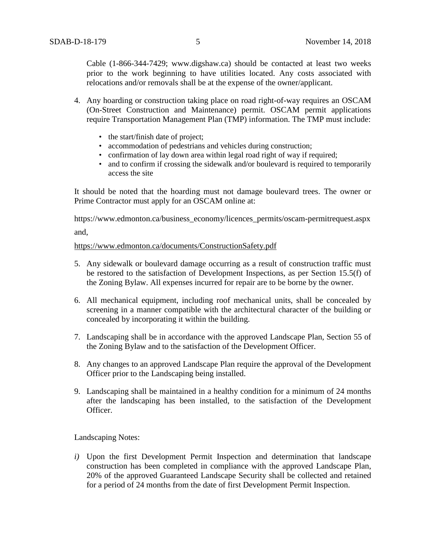Cable (1-866-344-7429; www.digshaw.ca) should be contacted at least two weeks prior to the work beginning to have utilities located. Any costs associated with relocations and/or removals shall be at the expense of the owner/applicant.

- 4. Any hoarding or construction taking place on road right-of-way requires an OSCAM (On-Street Construction and Maintenance) permit. OSCAM permit applications require Transportation Management Plan (TMP) information. The TMP must include:
	- the start/finish date of project;
	- accommodation of pedestrians and vehicles during construction;
	- confirmation of lay down area within legal road right of way if required;
	- and to confirm if crossing the sidewalk and/or boulevard is required to temporarily access the site

It should be noted that the hoarding must not damage boulevard trees. The owner or Prime Contractor must apply for an OSCAM online at:

https://www.edmonton.ca/business\_economy/licences\_permits/oscam-permitrequest.aspx and,

### <https://www.edmonton.ca/documents/ConstructionSafety.pdf>

- 5. Any sidewalk or boulevard damage occurring as a result of construction traffic must be restored to the satisfaction of Development Inspections, as per Section 15.5(f) of the Zoning Bylaw. All expenses incurred for repair are to be borne by the owner.
- 6. All mechanical equipment, including roof mechanical units, shall be concealed by screening in a manner compatible with the architectural character of the building or concealed by incorporating it within the building.
- 7. Landscaping shall be in accordance with the approved Landscape Plan, Section 55 of the Zoning Bylaw and to the satisfaction of the Development Officer.
- 8. Any changes to an approved Landscape Plan require the approval of the Development Officer prior to the Landscaping being installed.
- 9. Landscaping shall be maintained in a healthy condition for a minimum of 24 months after the landscaping has been installed, to the satisfaction of the Development Officer.

Landscaping Notes:

*i)* Upon the first Development Permit Inspection and determination that landscape construction has been completed in compliance with the approved Landscape Plan, 20% of the approved Guaranteed Landscape Security shall be collected and retained for a period of 24 months from the date of first Development Permit Inspection.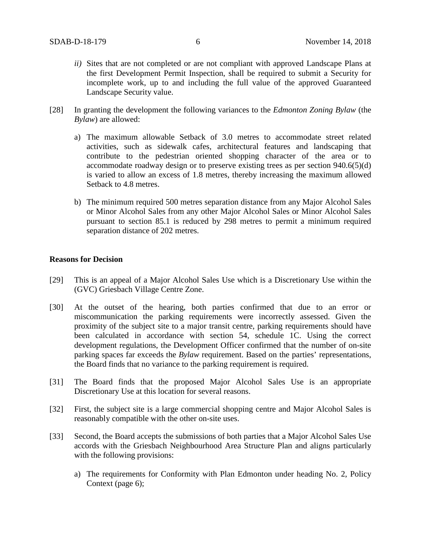- *ii)* Sites that are not completed or are not compliant with approved Landscape Plans at the first Development Permit Inspection, shall be required to submit a Security for incomplete work, up to and including the full value of the approved Guaranteed Landscape Security value.
- [28] In granting the development the following variances to the *Edmonton Zoning Bylaw* (the *Bylaw*) are allowed:
	- a) The maximum allowable Setback of 3.0 metres to accommodate street related activities, such as sidewalk cafes, architectural features and landscaping that contribute to the pedestrian oriented shopping character of the area or to accommodate roadway design or to preserve existing trees as per section 940.6(5)(d) is varied to allow an excess of 1.8 metres, thereby increasing the maximum allowed Setback to 4.8 metres.
	- b) The minimum required 500 metres separation distance from any Major Alcohol Sales or Minor Alcohol Sales from any other Major Alcohol Sales or Minor Alcohol Sales pursuant to section 85.1 is reduced by 298 metres to permit a minimum required separation distance of 202 metres.

### **Reasons for Decision**

- [29] This is an appeal of a Major Alcohol Sales Use which is a Discretionary Use within the (GVC) Griesbach Village Centre Zone.
- [30] At the outset of the hearing, both parties confirmed that due to an error or miscommunication the parking requirements were incorrectly assessed. Given the proximity of the subject site to a major transit centre, parking requirements should have been calculated in accordance with section 54, schedule 1C. Using the correct development regulations, the Development Officer confirmed that the number of on-site parking spaces far exceeds the *Bylaw* requirement. Based on the parties' representations, the Board finds that no variance to the parking requirement is required.
- [31] The Board finds that the proposed Major Alcohol Sales Use is an appropriate Discretionary Use at this location for several reasons.
- [32] First, the subject site is a large commercial shopping centre and Major Alcohol Sales is reasonably compatible with the other on-site uses.
- [33] Second, the Board accepts the submissions of both parties that a Major Alcohol Sales Use accords with the Griesbach Neighbourhood Area Structure Plan and aligns particularly with the following provisions:
	- a) The requirements for Conformity with Plan Edmonton under heading No. 2, Policy Context (page 6);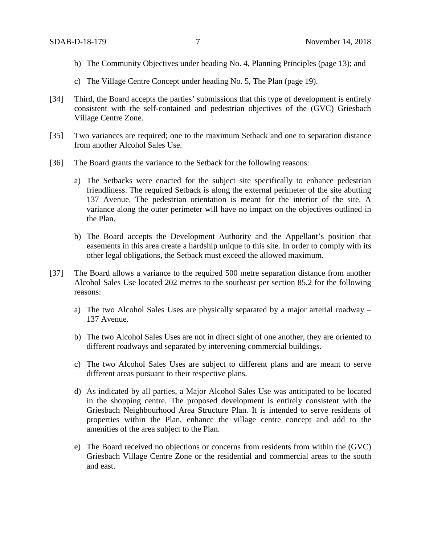- b) The Community Objectives under heading No. 4, Planning Principles (page 13); and
- c) The Village Centre Concept under heading No. 5, The Plan (page 19).
- [34] Third, the Board accepts the parties' submissions that this type of development is entirely consistent with the self-contained and pedestrian objectives of the (GVC) Griesbach Village Centre Zone.
- [35] Two variances are required; one to the maximum Setback and one to separation distance from another Alcohol Sales Use.
- [36] The Board grants the variance to the Setback for the following reasons:
	- a) The Setbacks were enacted for the subject site specifically to enhance pedestrian friendliness. The required Setback is along the external perimeter of the site abutting 137 Avenue. The pedestrian orientation is meant for the interior of the site. A variance along the outer perimeter will have no impact on the objectives outlined in the Plan.
	- b) The Board accepts the Development Authority and the Appellant's position that easements in this area create a hardship unique to this site. In order to comply with its other legal obligations, the Setback must exceed the allowed maximum.
- [37] The Board allows a variance to the required 500 metre separation distance from another Alcohol Sales Use located 202 metres to the southeast per section 85.2 for the following reasons:
	- a) The two Alcohol Sales Uses are physically separated by a major arterial roadway 137 Avenue.
	- b) The two Alcohol Sales Uses are not in direct sight of one another, they are oriented to different roadways and separated by intervening commercial buildings.
	- c) The two Alcohol Sales Uses are subject to different plans and are meant to serve different areas pursuant to their respective plans.
	- d) As indicated by all parties, a Major Alcohol Sales Use was anticipated to be located in the shopping centre. The proposed development is entirely consistent with the Griesbach Neighbourhood Area Structure Plan. It is intended to serve residents of properties within the Plan, enhance the village centre concept and add to the amenities of the area subject to the Plan.
	- e) The Board received no objections or concerns from residents from within the (GVC) Griesbach Village Centre Zone or the residential and commercial areas to the south and east.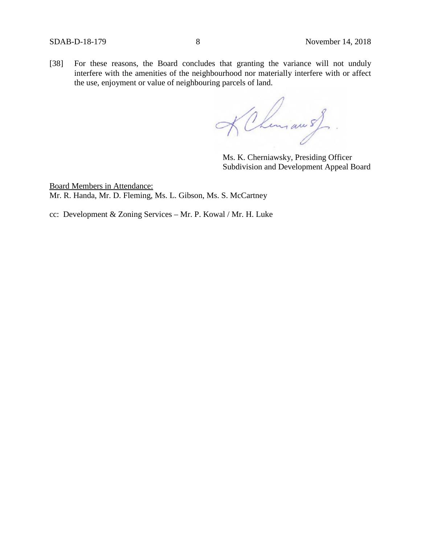[38] For these reasons, the Board concludes that granting the variance will not unduly interfere with the amenities of the neighbourhood nor materially interfere with or affect the use, enjoyment or value of neighbouring parcels of land.

K Chemiau S.

Ms. K. Cherniawsky, Presiding Officer Subdivision and Development Appeal Board

Board Members in Attendance: Mr. R. Handa, Mr. D. Fleming, Ms. L. Gibson, Ms. S. McCartney

cc: Development & Zoning Services – Mr. P. Kowal / Mr. H. Luke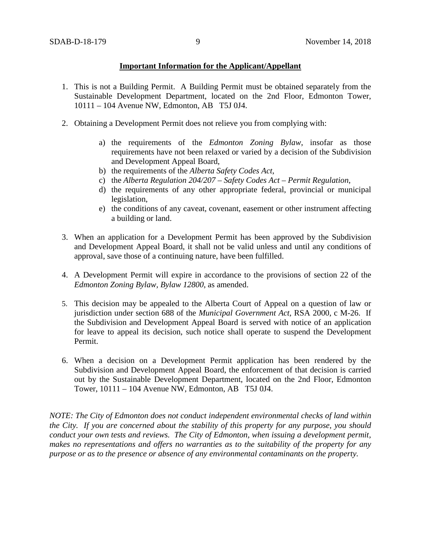### **Important Information for the Applicant/Appellant**

- 1. This is not a Building Permit. A Building Permit must be obtained separately from the Sustainable Development Department, located on the 2nd Floor, Edmonton Tower, 10111 – 104 Avenue NW, Edmonton, AB T5J 0J4.
- 2. Obtaining a Development Permit does not relieve you from complying with:
	- a) the requirements of the *Edmonton Zoning Bylaw*, insofar as those requirements have not been relaxed or varied by a decision of the Subdivision and Development Appeal Board,
	- b) the requirements of the *Alberta Safety Codes Act*,
	- c) the *Alberta Regulation 204/207 – Safety Codes Act – Permit Regulation*,
	- d) the requirements of any other appropriate federal, provincial or municipal legislation,
	- e) the conditions of any caveat, covenant, easement or other instrument affecting a building or land.
- 3. When an application for a Development Permit has been approved by the Subdivision and Development Appeal Board, it shall not be valid unless and until any conditions of approval, save those of a continuing nature, have been fulfilled.
- 4. A Development Permit will expire in accordance to the provisions of section 22 of the *Edmonton Zoning Bylaw, Bylaw 12800*, as amended.
- 5. This decision may be appealed to the Alberta Court of Appeal on a question of law or jurisdiction under section 688 of the *Municipal Government Act*, RSA 2000, c M-26. If the Subdivision and Development Appeal Board is served with notice of an application for leave to appeal its decision, such notice shall operate to suspend the Development Permit.
- 6. When a decision on a Development Permit application has been rendered by the Subdivision and Development Appeal Board, the enforcement of that decision is carried out by the Sustainable Development Department, located on the 2nd Floor, Edmonton Tower, 10111 – 104 Avenue NW, Edmonton, AB T5J 0J4.

*NOTE: The City of Edmonton does not conduct independent environmental checks of land within the City. If you are concerned about the stability of this property for any purpose, you should conduct your own tests and reviews. The City of Edmonton, when issuing a development permit, makes no representations and offers no warranties as to the suitability of the property for any purpose or as to the presence or absence of any environmental contaminants on the property.*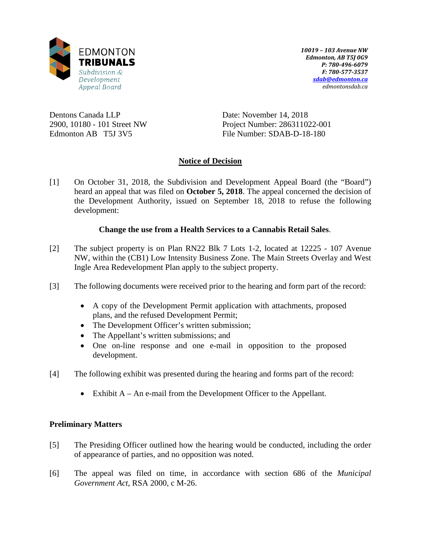

*10019 – 103 Avenue NW Edmonton, AB T5J 0G9 P: 780-496-6079 F: 780-577-3537 [sdab@edmonton.ca](mailto:sdab@edmonton.ca) edmontonsdab.ca*

Dentons Canada LLP 2900, 10180 - 101 Street NW Edmonton AB T5J 3V5

Date: November 14, 2018 Project Number: 286311022-001 File Number: SDAB-D-18-180

# **Notice of Decision**

[1] On October 31, 2018, the Subdivision and Development Appeal Board (the "Board") heard an appeal that was filed on **October 5, 2018**. The appeal concerned the decision of the Development Authority, issued on September 18, 2018 to refuse the following development:

## **Change the use from a Health Services to a Cannabis Retail Sales**.

- [2] The subject property is on Plan RN22 Blk 7 Lots 1-2, located at 12225 107 Avenue NW, within the (CB1) Low Intensity Business Zone. The Main Streets Overlay and West Ingle Area Redevelopment Plan apply to the subject property.
- [3] The following documents were received prior to the hearing and form part of the record:
	- A copy of the Development Permit application with attachments, proposed plans, and the refused Development Permit;
	- The Development Officer's written submission;
	- The Appellant's written submissions; and
	- One on-line response and one e-mail in opposition to the proposed development.
- [4] The following exhibit was presented during the hearing and forms part of the record:
	- Exhibit A An e-mail from the Development Officer to the Appellant.

## **Preliminary Matters**

- [5] The Presiding Officer outlined how the hearing would be conducted, including the order of appearance of parties, and no opposition was noted.
- [6] The appeal was filed on time, in accordance with section 686 of the *Municipal Government Act*, RSA 2000, c M-26.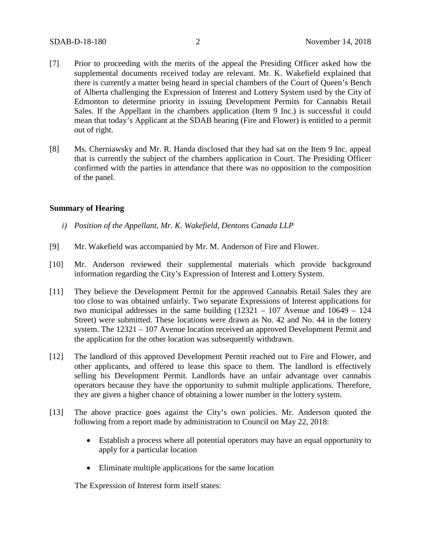- [7] Prior to proceeding with the merits of the appeal the Presiding Officer asked how the supplemental documents received today are relevant. Mr. K. Wakefield explained that there is currently a matter being heard in special chambers of the Court of Queen's Bench of Alberta challenging the Expression of Interest and Lottery System used by the City of Edmonton to determine priority in issuing Development Permits for Cannabis Retail Sales. If the Appellant in the chambers application (Item 9 Inc.) is successful it could mean that today's Applicant at the SDAB hearing (Fire and Flower) is entitled to a permit out of right.
- [8] Ms. Cherniawsky and Mr. R. Handa disclosed that they had sat on the Item 9 Inc. appeal that is currently the subject of the chambers application in Court. The Presiding Officer confirmed with the parties in attendance that there was no opposition to the composition of the panel.

#### **Summary of Hearing**

- *i) Position of the Appellant, Mr. K. Wakefield, Dentons Canada LLP*
- [9] Mr. Wakefield was accompanied by Mr. M. Anderson of Fire and Flower.
- [10] Mr. Anderson reviewed their supplemental materials which provide background information regarding the City's Expression of Interest and Lottery System.
- [11] They believe the Development Permit for the approved Cannabis Retail Sales they are too close to was obtained unfairly. Two separate Expressions of Interest applications for two municipal addresses in the same building (12321 – 107 Avenue and 10649 – 124 Street) were submitted. These locations were drawn as No. 42 and No. 44 in the lottery system. The 12321 – 107 Avenue location received an approved Development Permit and the application for the other location was subsequently withdrawn.
- [12] The landlord of this approved Development Permit reached out to Fire and Flower, and other applicants, and offered to lease this space to them. The landlord is effectively selling his Development Permit. Landlords have an unfair advantage over cannabis operators because they have the opportunity to submit multiple applications. Therefore, they are given a higher chance of obtaining a lower number in the lottery system.
- [13] The above practice goes against the City's own policies. Mr. Anderson quoted the following from a report made by administration to Council on May 22, 2018:
	- Establish a process where all potential operators may have an equal opportunity to apply for a particular location
	- Eliminate multiple applications for the same location

The Expression of Interest form itself states: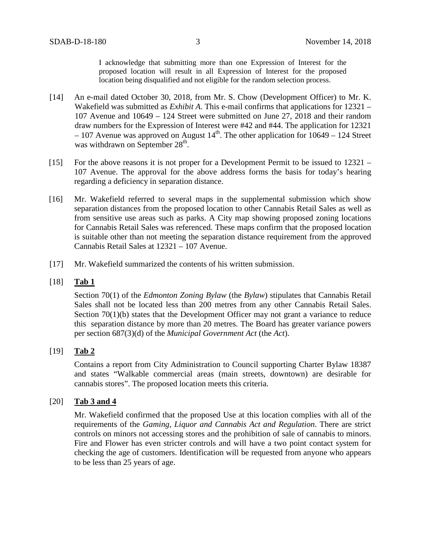I acknowledge that submitting more than one Expression of Interest for the proposed location will result in all Expression of Interest for the proposed location being disqualified and not eligible for the random selection process.

- [14] An e-mail dated October 30, 2018, from Mr. S. Chow (Development Officer) to Mr. K. Wakefield was submitted as *Exhibit A*. This e-mail confirms that applications for 12321 – 107 Avenue and 10649 – 124 Street were submitted on June 27, 2018 and their random draw numbers for the Expression of Interest were #42 and #44. The application for 12321 – 107 Avenue was approved on August  $14<sup>th</sup>$ . The other application for 10649 – 124 Street was withdrawn on September 28<sup>th</sup>.
- [15] For the above reasons it is not proper for a Development Permit to be issued to 12321 107 Avenue. The approval for the above address forms the basis for today's hearing regarding a deficiency in separation distance.
- [16] Mr. Wakefield referred to several maps in the supplemental submission which show separation distances from the proposed location to other Cannabis Retail Sales as well as from sensitive use areas such as parks. A City map showing proposed zoning locations for Cannabis Retail Sales was referenced. These maps confirm that the proposed location is suitable other than not meeting the separation distance requirement from the approved Cannabis Retail Sales at 12321 – 107 Avenue.
- [17] Mr. Wakefield summarized the contents of his written submission.
- [18] **Tab 1**

Section 70(1) of the *Edmonton Zoning Bylaw* (the *Bylaw*) stipulates that Cannabis Retail Sales shall not be located less than 200 metres from any other Cannabis Retail Sales. Section 70(1)(b) states that the Development Officer may not grant a variance to reduce this separation distance by more than 20 metres. The Board has greater variance powers per section 687(3)(d) of the *Municipal Government Act* (the *Act*).

## [19] **Tab 2**

Contains a report from City Administration to Council supporting Charter Bylaw 18387 and states "Walkable commercial areas (main streets, downtown) are desirable for cannabis stores". The proposed location meets this criteria.

[20] **Tab 3 and 4** 

Mr. Wakefield confirmed that the proposed Use at this location complies with all of the requirements of the *Gaming, Liquor and Cannabis Act and Regulation*. There are strict controls on minors not accessing stores and the prohibition of sale of cannabis to minors. Fire and Flower has even stricter controls and will have a two point contact system for checking the age of customers. Identification will be requested from anyone who appears to be less than 25 years of age.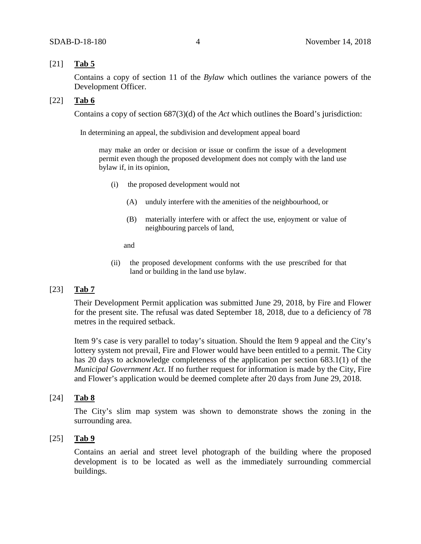## [21] **Tab 5**

Contains a copy of section 11 of the *Bylaw* which outlines the variance powers of the Development Officer.

## [22] **Tab 6**

Contains a copy of section 687(3)(d) of the *Act* which outlines the Board's jurisdiction:

In determining an appeal, the subdivision and development appeal board

may make an order or decision or issue or confirm the issue of a development permit even though the proposed development does not comply with the land use bylaw if, in its opinion,

- (i) the proposed development would not
	- (A) unduly interfere with the amenities of the neighbourhood, or
	- (B) materially interfere with or affect the use, enjoyment or value of neighbouring parcels of land,

and

(ii) the proposed development conforms with the use prescribed for that land or building in the land use bylaw.

## [23] **Tab 7**

Their Development Permit application was submitted June 29, 2018, by Fire and Flower for the present site. The refusal was dated September 18, 2018, due to a deficiency of 78 metres in the required setback.

Item 9's case is very parallel to today's situation. Should the Item 9 appeal and the City's lottery system not prevail, Fire and Flower would have been entitled to a permit. The City has 20 days to acknowledge completeness of the application per section 683.1(1) of the *Municipal Government Act*. If no further request for information is made by the City, Fire and Flower's application would be deemed complete after 20 days from June 29, 2018.

## [24] **Tab 8**

The City's slim map system was shown to demonstrate shows the zoning in the surrounding area.

## [25] **Tab 9**

Contains an aerial and street level photograph of the building where the proposed development is to be located as well as the immediately surrounding commercial buildings.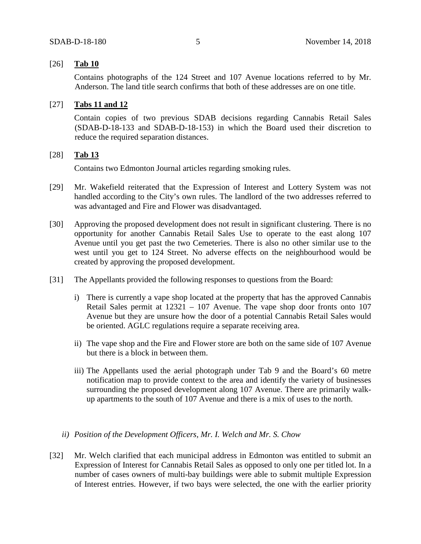## [26] **Tab 10**

Contains photographs of the 124 Street and 107 Avenue locations referred to by Mr. Anderson. The land title search confirms that both of these addresses are on one title.

### [27] **Tabs 11 and 12**

Contain copies of two previous SDAB decisions regarding Cannabis Retail Sales (SDAB-D-18-133 and SDAB-D-18-153) in which the Board used their discretion to reduce the required separation distances.

## [28] **Tab 13**

Contains two Edmonton Journal articles regarding smoking rules.

- [29] Mr. Wakefield reiterated that the Expression of Interest and Lottery System was not handled according to the City's own rules. The landlord of the two addresses referred to was advantaged and Fire and Flower was disadvantaged.
- [30] Approving the proposed development does not result in significant clustering. There is no opportunity for another Cannabis Retail Sales Use to operate to the east along 107 Avenue until you get past the two Cemeteries. There is also no other similar use to the west until you get to 124 Street. No adverse effects on the neighbourhood would be created by approving the proposed development.
- [31] The Appellants provided the following responses to questions from the Board:
	- i) There is currently a vape shop located at the property that has the approved Cannabis Retail Sales permit at 12321 – 107 Avenue. The vape shop door fronts onto 107 Avenue but they are unsure how the door of a potential Cannabis Retail Sales would be oriented. AGLC regulations require a separate receiving area.
	- ii) The vape shop and the Fire and Flower store are both on the same side of 107 Avenue but there is a block in between them.
	- iii) The Appellants used the aerial photograph under Tab 9 and the Board's 60 metre notification map to provide context to the area and identify the variety of businesses surrounding the proposed development along 107 Avenue. There are primarily walkup apartments to the south of 107 Avenue and there is a mix of uses to the north.

### *ii) Position of the Development Officers, Mr. I. Welch and Mr. S. Chow*

[32] Mr. Welch clarified that each municipal address in Edmonton was entitled to submit an Expression of Interest for Cannabis Retail Sales as opposed to only one per titled lot. In a number of cases owners of multi-bay buildings were able to submit multiple Expression of Interest entries. However, if two bays were selected, the one with the earlier priority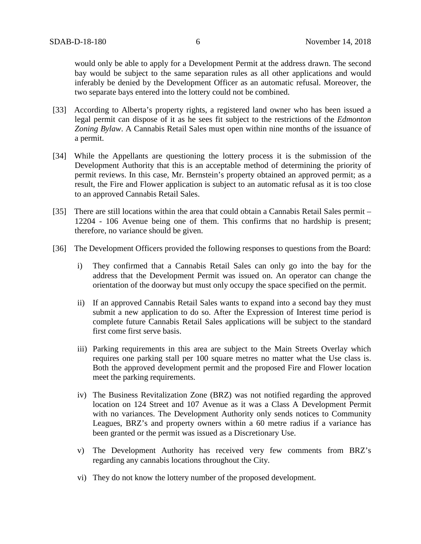would only be able to apply for a Development Permit at the address drawn. The second bay would be subject to the same separation rules as all other applications and would inferably be denied by the Development Officer as an automatic refusal. Moreover, the two separate bays entered into the lottery could not be combined.

- [33] According to Alberta's property rights, a registered land owner who has been issued a legal permit can dispose of it as he sees fit subject to the restrictions of the *Edmonton Zoning Bylaw*. A Cannabis Retail Sales must open within nine months of the issuance of a permit.
- [34] While the Appellants are questioning the lottery process it is the submission of the Development Authority that this is an acceptable method of determining the priority of permit reviews. In this case, Mr. Bernstein's property obtained an approved permit; as a result, the Fire and Flower application is subject to an automatic refusal as it is too close to an approved Cannabis Retail Sales.
- [35] There are still locations within the area that could obtain a Cannabis Retail Sales permit 12204 - 106 Avenue being one of them. This confirms that no hardship is present; therefore, no variance should be given.
- [36] The Development Officers provided the following responses to questions from the Board:
	- i) They confirmed that a Cannabis Retail Sales can only go into the bay for the address that the Development Permit was issued on. An operator can change the orientation of the doorway but must only occupy the space specified on the permit.
	- ii) If an approved Cannabis Retail Sales wants to expand into a second bay they must submit a new application to do so. After the Expression of Interest time period is complete future Cannabis Retail Sales applications will be subject to the standard first come first serve basis.
	- iii) Parking requirements in this area are subject to the Main Streets Overlay which requires one parking stall per 100 square metres no matter what the Use class is. Both the approved development permit and the proposed Fire and Flower location meet the parking requirements.
	- iv) The Business Revitalization Zone (BRZ) was not notified regarding the approved location on 124 Street and 107 Avenue as it was a Class A Development Permit with no variances. The Development Authority only sends notices to Community Leagues, BRZ's and property owners within a 60 metre radius if a variance has been granted or the permit was issued as a Discretionary Use.
	- v) The Development Authority has received very few comments from BRZ's regarding any cannabis locations throughout the City.
	- vi) They do not know the lottery number of the proposed development.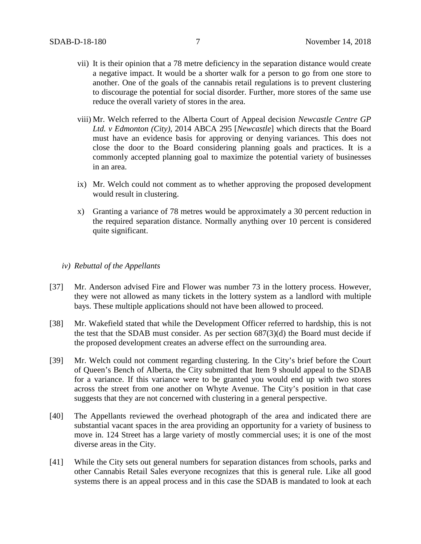- vii) It is their opinion that a 78 metre deficiency in the separation distance would create a negative impact. It would be a shorter walk for a person to go from one store to another. One of the goals of the cannabis retail regulations is to prevent clustering to discourage the potential for social disorder. Further, more stores of the same use reduce the overall variety of stores in the area.
- viii) Mr. Welch referred to the Alberta Court of Appeal decision *Newcastle Centre GP Ltd. v Edmonton (City)*, 2014 ABCA 295 [*Newcastle*] which directs that the Board must have an evidence basis for approving or denying variances. This does not close the door to the Board considering planning goals and practices. It is a commonly accepted planning goal to maximize the potential variety of businesses in an area.
- ix) Mr. Welch could not comment as to whether approving the proposed development would result in clustering.
- x) Granting a variance of 78 metres would be approximately a 30 percent reduction in the required separation distance. Normally anything over 10 percent is considered quite significant.

#### *iv) Rebuttal of the Appellants*

- [37] Mr. Anderson advised Fire and Flower was number 73 in the lottery process. However, they were not allowed as many tickets in the lottery system as a landlord with multiple bays. These multiple applications should not have been allowed to proceed.
- [38] Mr. Wakefield stated that while the Development Officer referred to hardship, this is not the test that the SDAB must consider. As per section 687(3)(d) the Board must decide if the proposed development creates an adverse effect on the surrounding area.
- [39] Mr. Welch could not comment regarding clustering. In the City's brief before the Court of Queen's Bench of Alberta, the City submitted that Item 9 should appeal to the SDAB for a variance. If this variance were to be granted you would end up with two stores across the street from one another on Whyte Avenue. The City's position in that case suggests that they are not concerned with clustering in a general perspective.
- [40] The Appellants reviewed the overhead photograph of the area and indicated there are substantial vacant spaces in the area providing an opportunity for a variety of business to move in. 124 Street has a large variety of mostly commercial uses; it is one of the most diverse areas in the City.
- [41] While the City sets out general numbers for separation distances from schools, parks and other Cannabis Retail Sales everyone recognizes that this is general rule. Like all good systems there is an appeal process and in this case the SDAB is mandated to look at each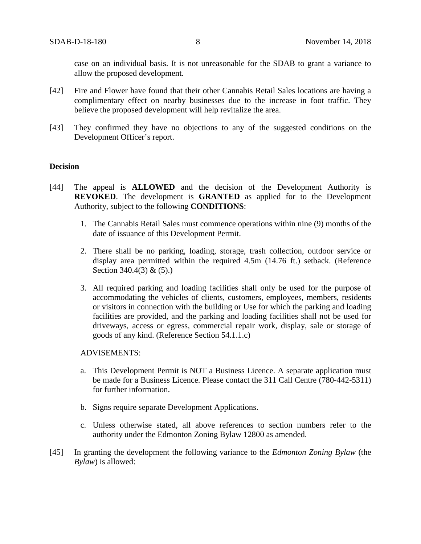case on an individual basis. It is not unreasonable for the SDAB to grant a variance to allow the proposed development.

- [42] Fire and Flower have found that their other Cannabis Retail Sales locations are having a complimentary effect on nearby businesses due to the increase in foot traffic. They believe the proposed development will help revitalize the area.
- [43] They confirmed they have no objections to any of the suggested conditions on the Development Officer's report.

### **Decision**

- [44] The appeal is **ALLOWED** and the decision of the Development Authority is **REVOKED**. The development is **GRANTED** as applied for to the Development Authority, subject to the following **CONDITIONS**:
	- 1. The Cannabis Retail Sales must commence operations within nine (9) months of the date of issuance of this Development Permit.
	- 2. There shall be no parking, loading, storage, trash collection, outdoor service or display area permitted within the required 4.5m (14.76 ft.) setback. (Reference Section 340.4(3) & (5).)
	- 3. All required parking and loading facilities shall only be used for the purpose of accommodating the vehicles of clients, customers, employees, members, residents or visitors in connection with the building or Use for which the parking and loading facilities are provided, and the parking and loading facilities shall not be used for driveways, access or egress, commercial repair work, display, sale or storage of goods of any kind. (Reference Section 54.1.1.c)

### ADVISEMENTS:

- a. This Development Permit is NOT a Business Licence. A separate application must be made for a Business Licence. Please contact the 311 Call Centre (780-442-5311) for further information.
- b. Signs require separate Development Applications.
- c. Unless otherwise stated, all above references to section numbers refer to the authority under the Edmonton Zoning Bylaw 12800 as amended.
- [45] In granting the development the following variance to the *Edmonton Zoning Bylaw* (the *Bylaw*) is allowed: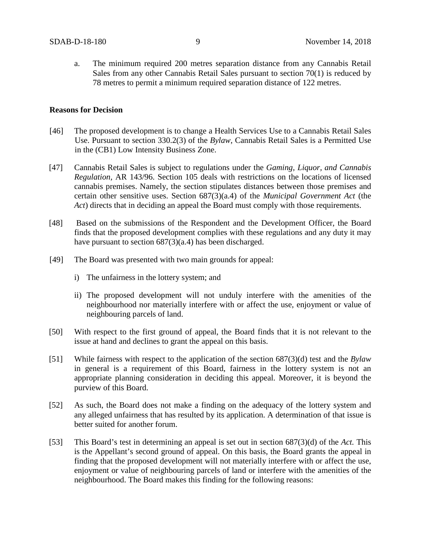a. The minimum required 200 metres separation distance from any Cannabis Retail Sales from any other Cannabis Retail Sales pursuant to section 70(1) is reduced by 78 metres to permit a minimum required separation distance of 122 metres.

### **Reasons for Decision**

- [46] The proposed development is to change a Health Services Use to a Cannabis Retail Sales Use. Pursuant to section 330.2(3) of the *Bylaw*, Cannabis Retail Sales is a Permitted Use in the (CB1) Low Intensity Business Zone.
- [47] Cannabis Retail Sales is subject to regulations under the *Gaming, Liquor, and Cannabis Regulation,* AR 143/96. Section 105 deals with restrictions on the locations of licensed cannabis premises. Namely, the section stipulates distances between those premises and certain other sensitive uses. Section 687(3)(a.4) of the *Municipal Government Act* (the *Act*) directs that in deciding an appeal the Board must comply with those requirements.
- [48] Based on the submissions of the Respondent and the Development Officer, the Board finds that the proposed development complies with these regulations and any duty it may have pursuant to section  $687(3)(a.4)$  has been discharged.
- [49] The Board was presented with two main grounds for appeal:
	- i) The unfairness in the lottery system; and
	- ii) The proposed development will not unduly interfere with the amenities of the neighbourhood nor materially interfere with or affect the use, enjoyment or value of neighbouring parcels of land.
- [50] With respect to the first ground of appeal, the Board finds that it is not relevant to the issue at hand and declines to grant the appeal on this basis.
- [51] While fairness with respect to the application of the section 687(3)(d) test and the *Bylaw* in general is a requirement of this Board, fairness in the lottery system is not an appropriate planning consideration in deciding this appeal. Moreover, it is beyond the purview of this Board.
- [52] As such, the Board does not make a finding on the adequacy of the lottery system and any alleged unfairness that has resulted by its application. A determination of that issue is better suited for another forum.
- [53] This Board's test in determining an appeal is set out in section 687(3)(d) of the *Act.* This is the Appellant's second ground of appeal. On this basis, the Board grants the appeal in finding that the proposed development will not materially interfere with or affect the use, enjoyment or value of neighbouring parcels of land or interfere with the amenities of the neighbourhood. The Board makes this finding for the following reasons: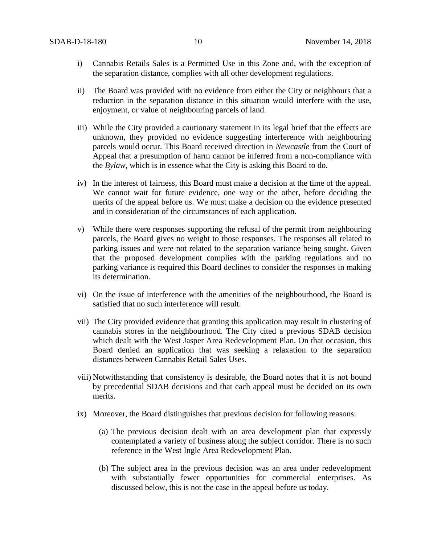- i) Cannabis Retails Sales is a Permitted Use in this Zone and, with the exception of the separation distance, complies with all other development regulations.
- ii) The Board was provided with no evidence from either the City or neighbours that a reduction in the separation distance in this situation would interfere with the use, enjoyment, or value of neighbouring parcels of land.
- iii) While the City provided a cautionary statement in its legal brief that the effects are unknown, they provided no evidence suggesting interference with neighbouring parcels would occur. This Board received direction in *Newcastle* from the Court of Appeal that a presumption of harm cannot be inferred from a non-compliance with the *Bylaw*, which is in essence what the City is asking this Board to do.
- iv) In the interest of fairness, this Board must make a decision at the time of the appeal. We cannot wait for future evidence, one way or the other, before deciding the merits of the appeal before us. We must make a decision on the evidence presented and in consideration of the circumstances of each application.
- v) While there were responses supporting the refusal of the permit from neighbouring parcels, the Board gives no weight to those responses. The responses all related to parking issues and were not related to the separation variance being sought. Given that the proposed development complies with the parking regulations and no parking variance is required this Board declines to consider the responses in making its determination.
- vi) On the issue of interference with the amenities of the neighbourhood, the Board is satisfied that no such interference will result.
- vii) The City provided evidence that granting this application may result in clustering of cannabis stores in the neighbourhood. The City cited a previous SDAB decision which dealt with the West Jasper Area Redevelopment Plan. On that occasion, this Board denied an application that was seeking a relaxation to the separation distances between Cannabis Retail Sales Uses.
- viii) Notwithstanding that consistency is desirable, the Board notes that it is not bound by precedential SDAB decisions and that each appeal must be decided on its own merits.
- ix) Moreover, the Board distinguishes that previous decision for following reasons:
	- (a) The previous decision dealt with an area development plan that expressly contemplated a variety of business along the subject corridor. There is no such reference in the West Ingle Area Redevelopment Plan.
	- (b) The subject area in the previous decision was an area under redevelopment with substantially fewer opportunities for commercial enterprises. As discussed below, this is not the case in the appeal before us today.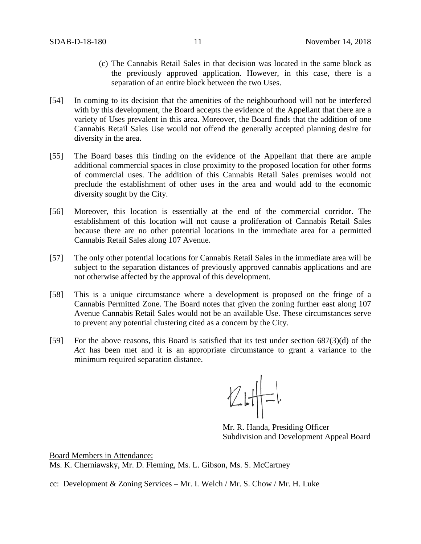- (c) The Cannabis Retail Sales in that decision was located in the same block as the previously approved application. However, in this case, there is a separation of an entire block between the two Uses.
- [54] In coming to its decision that the amenities of the neighbourhood will not be interfered with by this development, the Board accepts the evidence of the Appellant that there are a variety of Uses prevalent in this area. Moreover, the Board finds that the addition of one Cannabis Retail Sales Use would not offend the generally accepted planning desire for diversity in the area.
- [55] The Board bases this finding on the evidence of the Appellant that there are ample additional commercial spaces in close proximity to the proposed location for other forms of commercial uses. The addition of this Cannabis Retail Sales premises would not preclude the establishment of other uses in the area and would add to the economic diversity sought by the City.
- [56] Moreover, this location is essentially at the end of the commercial corridor. The establishment of this location will not cause a proliferation of Cannabis Retail Sales because there are no other potential locations in the immediate area for a permitted Cannabis Retail Sales along 107 Avenue.
- [57] The only other potential locations for Cannabis Retail Sales in the immediate area will be subject to the separation distances of previously approved cannabis applications and are not otherwise affected by the approval of this development.
- [58] This is a unique circumstance where a development is proposed on the fringe of a Cannabis Permitted Zone. The Board notes that given the zoning further east along 107 Avenue Cannabis Retail Sales would not be an available Use. These circumstances serve to prevent any potential clustering cited as a concern by the City.
- [59] For the above reasons, this Board is satisfied that its test under section 687(3)(d) of the *Act* has been met and it is an appropriate circumstance to grant a variance to the minimum required separation distance.

 $24H-1$ 

Mr. R. Handa, Presiding Officer Subdivision and Development Appeal Board

Board Members in Attendance: Ms. K. Cherniawsky, Mr. D. Fleming, Ms. L. Gibson, Ms. S. McCartney

cc: Development & Zoning Services – Mr. I. Welch / Mr. S. Chow / Mr. H. Luke